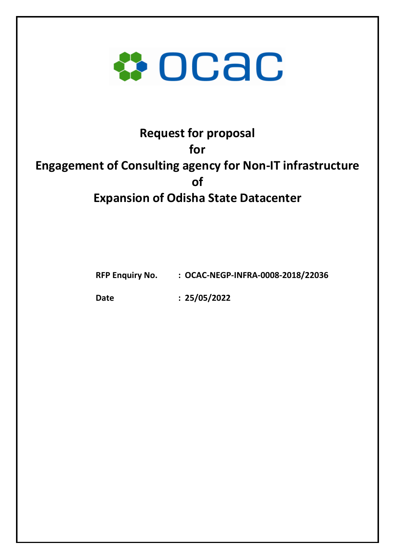

# **Request for proposal for Engagement of Consulting agency for Non-IT infrastructure of Expansion of Odisha State Datacenter**

 **RFP Enquiry No. : OCAC-NEGP-INFRA-0008-2018/22036**

 **Date : 25/05/2022**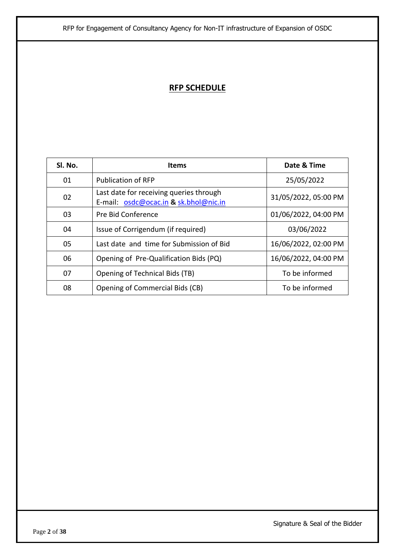٦

### **RFP SCHEDULE**

| SI. No. | <b>Items</b>                                                                     | Date & Time          |
|---------|----------------------------------------------------------------------------------|----------------------|
| 01      | <b>Publication of RFP</b>                                                        | 25/05/2022           |
| 02      | Last date for receiving queries through<br>E-mail: osdc@ocac.in & sk.bhol@nic.in | 31/05/2022, 05:00 PM |
| 03      | Pre Bid Conference                                                               | 01/06/2022, 04:00 PM |
| 04      | Issue of Corrigendum (if required)                                               | 03/06/2022           |
| 05      | Last date and time for Submission of Bid                                         | 16/06/2022, 02:00 PM |
| 06      | Opening of Pre-Qualification Bids (PQ)                                           | 16/06/2022, 04:00 PM |
| 07      | Opening of Technical Bids (TB)                                                   | To be informed       |
| 08      | Opening of Commercial Bids (CB)                                                  | To be informed       |

֦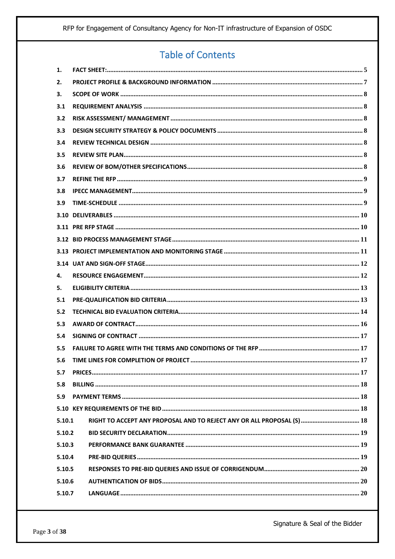# **Table of Contents**

| 1.     |                                                                        |  |
|--------|------------------------------------------------------------------------|--|
| 2.     |                                                                        |  |
| З.     |                                                                        |  |
| 3.1    |                                                                        |  |
| 3.2    |                                                                        |  |
| 3.3    |                                                                        |  |
| 3.4    |                                                                        |  |
| 3.5    |                                                                        |  |
| 3.6    |                                                                        |  |
| 3.7    |                                                                        |  |
| 3.8    |                                                                        |  |
| 3.9    |                                                                        |  |
|        |                                                                        |  |
|        |                                                                        |  |
|        |                                                                        |  |
|        |                                                                        |  |
|        |                                                                        |  |
| 4.     |                                                                        |  |
| 5.     |                                                                        |  |
| 5.1    |                                                                        |  |
| 5.2    |                                                                        |  |
| 5.3    |                                                                        |  |
| 5.4    |                                                                        |  |
| 5.5    |                                                                        |  |
| 5.6    |                                                                        |  |
| 5.7    |                                                                        |  |
| 5.8    |                                                                        |  |
| 5.9    |                                                                        |  |
|        |                                                                        |  |
| 5.10.1 | RIGHT TO ACCEPT ANY PROPOSAL AND TO REJECT ANY OR ALL PROPOSAL (S)  18 |  |
| 5.10.2 |                                                                        |  |
| 5.10.3 |                                                                        |  |
| 5.10.4 |                                                                        |  |
| 5.10.5 |                                                                        |  |
| 5.10.6 |                                                                        |  |
| 5.10.7 |                                                                        |  |
|        |                                                                        |  |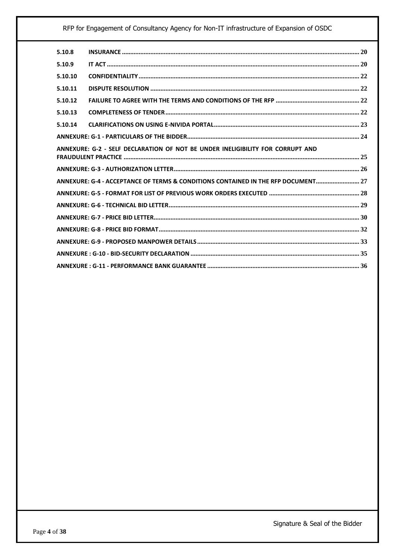| 5.10.8  | $\textsf{INSURANCE}\texttt{}{\texttt{}}\texttt{}{\texttt{}}\texttt{}{\texttt{}}\texttt{}{\texttt{}}\texttt{}{\texttt{}}\texttt{}{\texttt{}}\texttt{}{\texttt{}}\texttt{}{\texttt{}}\texttt{}}20$ |  |
|---------|--------------------------------------------------------------------------------------------------------------------------------------------------------------------------------------------------|--|
| 5.10.9  |                                                                                                                                                                                                  |  |
| 5.10.10 |                                                                                                                                                                                                  |  |
| 5.10.11 |                                                                                                                                                                                                  |  |
| 5.10.12 |                                                                                                                                                                                                  |  |
| 5.10.13 |                                                                                                                                                                                                  |  |
| 5.10.14 |                                                                                                                                                                                                  |  |
|         |                                                                                                                                                                                                  |  |
|         | ANNEXURE: G-2 - SELF DECLARATION OF NOT BE UNDER INELIGIBILITY FOR CORRUPT AND                                                                                                                   |  |
|         |                                                                                                                                                                                                  |  |
|         | ANNEXURE: G-4 - ACCEPTANCE OF TERMS & CONDITIONS CONTAINED IN THE RFP DOCUMENT 27                                                                                                                |  |
|         |                                                                                                                                                                                                  |  |
|         |                                                                                                                                                                                                  |  |
|         |                                                                                                                                                                                                  |  |
|         |                                                                                                                                                                                                  |  |
|         |                                                                                                                                                                                                  |  |
|         |                                                                                                                                                                                                  |  |
|         |                                                                                                                                                                                                  |  |
|         |                                                                                                                                                                                                  |  |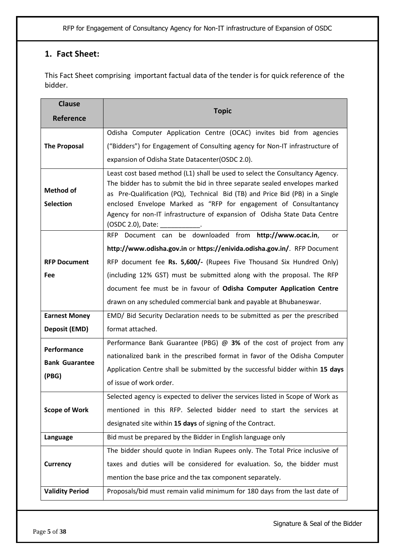٦

### <span id="page-4-0"></span>**1. Fact Sheet:**

This Fact Sheet comprising important factual data of the tender is for quick reference of the bidder.

| <b>Clause</b>                        | <b>Topic</b>                                                                                                                                                                                                                                                                                                                                                                                                              |  |  |
|--------------------------------------|---------------------------------------------------------------------------------------------------------------------------------------------------------------------------------------------------------------------------------------------------------------------------------------------------------------------------------------------------------------------------------------------------------------------------|--|--|
| Reference                            |                                                                                                                                                                                                                                                                                                                                                                                                                           |  |  |
|                                      | Odisha Computer Application Centre (OCAC) invites bid from agencies                                                                                                                                                                                                                                                                                                                                                       |  |  |
| <b>The Proposal</b>                  | ("Bidders") for Engagement of Consulting agency for Non-IT infrastructure of                                                                                                                                                                                                                                                                                                                                              |  |  |
|                                      | expansion of Odisha State Datacenter (OSDC 2.0).                                                                                                                                                                                                                                                                                                                                                                          |  |  |
| <b>Method of</b><br><b>Selection</b> | Least cost based method (L1) shall be used to select the Consultancy Agency.<br>The bidder has to submit the bid in three separate sealed envelopes marked<br>as Pre-Qualification (PQ), Technical Bid (TB) and Price Bid (PB) in a Single<br>enclosed Envelope Marked as "RFP for engagement of Consultantancy<br>Agency for non-IT infrastructure of expansion of Odisha State Data Centre<br>(OSDC 2.0), Date: _______ |  |  |
|                                      | Document can be downloaded from http://www.ocac.in,<br><b>RFP</b><br>or                                                                                                                                                                                                                                                                                                                                                   |  |  |
|                                      | http://www.odisha.gov.in or https://enivida.odisha.gov.in/. RFP Document                                                                                                                                                                                                                                                                                                                                                  |  |  |
| <b>RFP Document</b>                  | RFP document fee Rs. 5,600/- (Rupees Five Thousand Six Hundred Only)                                                                                                                                                                                                                                                                                                                                                      |  |  |
| Fee                                  | (including 12% GST) must be submitted along with the proposal. The RFP                                                                                                                                                                                                                                                                                                                                                    |  |  |
|                                      | document fee must be in favour of Odisha Computer Application Centre                                                                                                                                                                                                                                                                                                                                                      |  |  |
|                                      | drawn on any scheduled commercial bank and payable at Bhubaneswar.                                                                                                                                                                                                                                                                                                                                                        |  |  |
| <b>Earnest Money</b>                 | EMD/ Bid Security Declaration needs to be submitted as per the prescribed                                                                                                                                                                                                                                                                                                                                                 |  |  |
| Deposit (EMD)                        | format attached.                                                                                                                                                                                                                                                                                                                                                                                                          |  |  |
| Performance                          | Performance Bank Guarantee (PBG) $@$ 3% of the cost of project from any                                                                                                                                                                                                                                                                                                                                                   |  |  |
| <b>Bank Guarantee</b>                | nationalized bank in the prescribed format in favor of the Odisha Computer                                                                                                                                                                                                                                                                                                                                                |  |  |
| (PBG)                                | Application Centre shall be submitted by the successful bidder within 15 days                                                                                                                                                                                                                                                                                                                                             |  |  |
|                                      | of issue of work order.                                                                                                                                                                                                                                                                                                                                                                                                   |  |  |
|                                      | Selected agency is expected to deliver the services listed in Scope of Work as                                                                                                                                                                                                                                                                                                                                            |  |  |
| <b>Scope of Work</b>                 | mentioned in this RFP. Selected bidder need to start the services at                                                                                                                                                                                                                                                                                                                                                      |  |  |
|                                      | designated site within 15 days of signing of the Contract.                                                                                                                                                                                                                                                                                                                                                                |  |  |
| Language                             | Bid must be prepared by the Bidder in English language only                                                                                                                                                                                                                                                                                                                                                               |  |  |
|                                      | The bidder should quote in Indian Rupees only. The Total Price inclusive of                                                                                                                                                                                                                                                                                                                                               |  |  |
| <b>Currency</b>                      | taxes and duties will be considered for evaluation. So, the bidder must                                                                                                                                                                                                                                                                                                                                                   |  |  |
|                                      | mention the base price and the tax component separately.                                                                                                                                                                                                                                                                                                                                                                  |  |  |
| <b>Validity Period</b>               | Proposals/bid must remain valid minimum for 180 days from the last date of                                                                                                                                                                                                                                                                                                                                                |  |  |

֦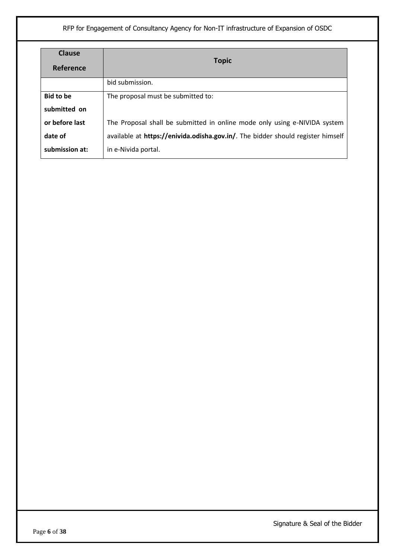| <b>Clause</b><br>Reference | <b>Topic</b>                                                                    |
|----------------------------|---------------------------------------------------------------------------------|
|                            | bid submission.                                                                 |
| <b>Bid to be</b>           | The proposal must be submitted to:                                              |
| submitted on               |                                                                                 |
| or before last             | The Proposal shall be submitted in online mode only using e-NIVIDA system       |
| date of                    | available at https://enivida.odisha.gov.in/. The bidder should register himself |
| submission at:             | in e-Nivida portal.                                                             |

֦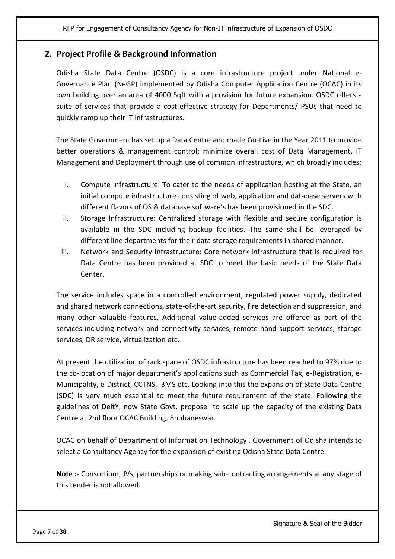### <span id="page-6-0"></span>**2. Project Profile & Background Information**

٦

Odisha State Data Centre (OSDC) is a core infrastructure project under National e-Governance Plan (NeGP) implemented by Odisha Computer Application Centre (OCAC) in its own building over an area of 4000 Sqft with a provision for future expansion. OSDC offers a suite of services that provide a cost-effective strategy for Departments/ PSUs that need to quickly ramp up their IT infrastructures.

The State Government has set up a Data Centre and made Go-Live in the Year 2011 to provide better operations & management control; minimize overall cost of Data Management, IT Management and Deployment through use of common infrastructure, which broadly includes:

- i. Compute Infrastructure: To cater to the needs of application hosting at the State, an initial compute infrastructure consisting of web, application and database servers with different flavors of OS & database software's has been provisioned in the SDC.
- ii. Storage Infrastructure: Centralized storage with flexible and secure configuration is available in the SDC including backup facilities. The same shall be leveraged by different line departments for their data storage requirements in shared manner.
- iii. Network and Security Infrastructure: Core network infrastructure that is required for Data Centre has been provided at SDC to meet the basic needs of the State Data Center.

The service includes space in a controlled environment, regulated power supply, dedicated and shared network connections, state-of-the-art security, fire detection and suppression, and many other valuable features. Additional value-added services are offered as part of the services including network and connectivity services, remote hand support services, storage services, DR service, virtualization etc.

At present the utilization of rack space of OSDC infrastructure has been reached to 97% due to the co-location of major department's applications such as Commercial Tax, e-Registration, e-Municipality, e-District, CCTNS, i3MS etc. Looking into this the expansion of State Data Centre (SDC) is very much essential to meet the future requirement of the state. Following the guidelines of DeitY, now State Govt. propose to scale up the capacity of the existing Data Centre at 2nd floor OCAC Building, Bhubaneswar.

OCAC on behalf of Department of Information Technology , Government of Odisha intends to select a Consultancy Agency for the expansion of existing Odisha State Data Centre.

**Note :-** Consortium, JVs, partnerships or making sub-contracting arrangements at any stage of this tender is not allowed.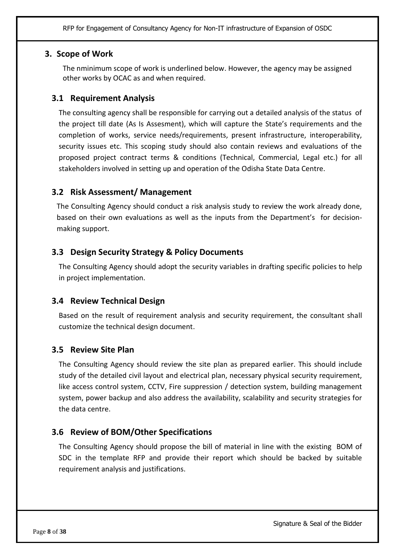٦

#### <span id="page-7-0"></span>**3. Scope of Work**

The nminimum scope of work is underlined below. However, the agency may be assigned other works by OCAC as and when required.

### <span id="page-7-1"></span>**3.1 Requirement Analysis**

The consulting agency shall be responsible for carrying out a detailed analysis of the status of the project till date (As Is Assesment), which will capture the State's requirements and the completion of works, service needs/requirements, present infrastructure, interoperability, security issues etc. This scoping study should also contain reviews and evaluations of the proposed project contract terms & conditions (Technical, Commercial, Legal etc.) for all stakeholders involved in setting up and operation of the Odisha State Data Centre.

### <span id="page-7-2"></span>**3.2 Risk Assessment/ Management**

The Consulting Agency should conduct a risk analysis study to review the work already done, based on their own evaluations as well as the inputs from the Department's for decisionmaking support.

### <span id="page-7-3"></span>**3.3 Design Security Strategy & Policy Documents**

The Consulting Agency should adopt the security variables in drafting specific policies to help in project implementation.

#### <span id="page-7-4"></span>**3.4 Review Technical Design**

Based on the result of requirement analysis and security requirement, the consultant shall customize the technical design document.

### <span id="page-7-5"></span>**3.5 Review Site Plan**

The Consulting Agency should review the site plan as prepared earlier. This should include study of the detailed civil layout and electrical plan, necessary physical security requirement, like access control system, CCTV, Fire suppression / detection system, building management system, power backup and also address the availability, scalability and security strategies for the data centre.

### <span id="page-7-6"></span>**3.6 Review of BOM/Other Specifications**

The Consulting Agency should propose the bill of material in line with the existing BOM of SDC in the template RFP and provide their report which should be backed by suitable requirement analysis and justifications.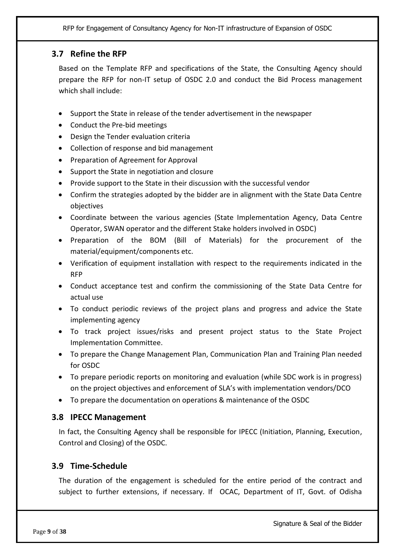#### <span id="page-8-0"></span>**3.7 Refine the RFP**

Based on the Template RFP and specifications of the State, the Consulting Agency should prepare the RFP for non-IT setup of OSDC 2.0 and conduct the Bid Process management which shall include:

- Support the State in release of the tender advertisement in the newspaper
- Conduct the Pre-bid meetings
- Design the Tender evaluation criteria
- Collection of response and bid management

٦

- Preparation of Agreement for Approval
- Support the State in negotiation and closure
- Provide support to the State in their discussion with the successful vendor
- Confirm the strategies adopted by the bidder are in alignment with the State Data Centre objectives
- Coordinate between the various agencies (State Implementation Agency, Data Centre Operator, SWAN operator and the different Stake holders involved in OSDC)
- Preparation of the BOM (Bill of Materials) for the procurement of the material/equipment/components etc.
- Verification of equipment installation with respect to the requirements indicated in the RFP
- Conduct acceptance test and confirm the commissioning of the State Data Centre for actual use
- To conduct periodic reviews of the project plans and progress and advice the State implementing agency
- To track project issues/risks and present project status to the State Project Implementation Committee.
- To prepare the Change Management Plan, Communication Plan and Training Plan needed for OSDC
- To prepare periodic reports on monitoring and evaluation (while SDC work is in progress) on the project objectives and enforcement of SLA's with implementation vendors/DCO
- To prepare the documentation on operations & maintenance of the OSDC

#### <span id="page-8-1"></span>**3.8 IPECC Management**

In fact, the Consulting Agency shall be responsible for IPECC (Initiation, Planning, Execution, Control and Closing) of the OSDC.

### <span id="page-8-2"></span>**3.9 Time-Schedule**

The duration of the engagement is scheduled for the entire period of the contract and subject to further extensions, if necessary. If OCAC, Department of IT, Govt. of Odisha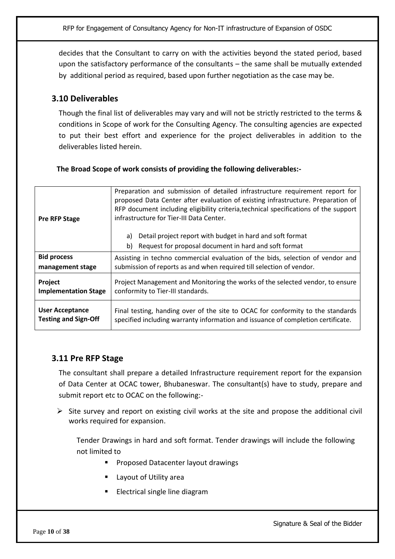٦

decides that the Consultant to carry on with the activities beyond the stated period, based upon the satisfactory performance of the consultants – the same shall be mutually extended by additional period as required, based upon further negotiation as the case may be.

### <span id="page-9-0"></span>**3.10 Deliverables**

Though the final list of deliverables may vary and will not be strictly restricted to the terms & conditions in Scope of work for the Consulting Agency. The consulting agencies are expected to put their best effort and experience for the project deliverables in addition to the deliverables listed herein.

| <b>Pre RFP Stage</b>                                                                                                                                         | Preparation and submission of detailed infrastructure requirement report for<br>proposed Data Center after evaluation of existing infrastructure. Preparation of<br>RFP document including eligibility criteria, technical specifications of the support<br>infrastructure for Tier-III Data Center. |
|--------------------------------------------------------------------------------------------------------------------------------------------------------------|------------------------------------------------------------------------------------------------------------------------------------------------------------------------------------------------------------------------------------------------------------------------------------------------------|
|                                                                                                                                                              | a) Detail project report with budget in hard and soft format<br>b) Request for proposal document in hard and soft format                                                                                                                                                                             |
| <b>Bid process</b><br>management stage                                                                                                                       | Assisting in techno commercial evaluation of the bids, selection of vendor and<br>submission of reports as and when required till selection of vendor.                                                                                                                                               |
| Project Management and Monitoring the works of the selected vendor, to ensure<br>Project<br>conformity to Tier-III standards.<br><b>Implementation Stage</b> |                                                                                                                                                                                                                                                                                                      |
| <b>User Acceptance</b><br><b>Testing and Sign-Off</b>                                                                                                        | Final testing, handing over of the site to OCAC for conformity to the standards<br>specified including warranty information and issuance of completion certificate.                                                                                                                                  |

#### **The Broad Scope of work consists of providing the following deliverables:-**

### <span id="page-9-1"></span>**3.11 Pre RFP Stage**

The consultant shall prepare a detailed Infrastructure requirement report for the expansion of Data Center at OCAC tower, Bhubaneswar. The consultant(s) have to study, prepare and submit report etc to OCAC on the following:-

 $\triangleright$  Site survey and report on existing civil works at the site and propose the additional civil works required for expansion.

Tender Drawings in hard and soft format. Tender drawings will include the following not limited to

- Proposed Datacenter layout drawings
- Layout of Utility area
- Electrical single line diagram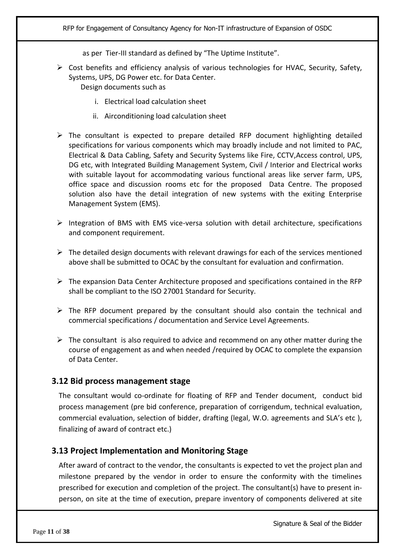as per Tier-III standard as defined by "The Uptime Institute".

➢ Cost benefits and efficiency analysis of various technologies for HVAC, Security, Safety, Systems, UPS, DG Power etc. for Data Center.

Design documents such as

i. Electrical load calculation sheet

٦

- ii. Airconditioning load calculation sheet
- $\triangleright$  The consultant is expected to prepare detailed RFP document highlighting detailed specifications for various components which may broadly include and not limited to PAC, Electrical & Data Cabling, Safety and Security Systems like Fire, CCTV,Access control, UPS, DG etc, with Integrated Building Management System, Civil / Interior and Electrical works with suitable layout for accommodating various functional areas like server farm, UPS, office space and discussion rooms etc for the proposed Data Centre. The proposed solution also have the detail integration of new systems with the exiting Enterprise Management System (EMS).
- $\triangleright$  Integration of BMS with EMS vice-versa solution with detail architecture, specifications and component requirement.
- $\triangleright$  The detailed design documents with relevant drawings for each of the services mentioned above shall be submitted to OCAC by the consultant for evaluation and confirmation.
- ➢ The expansion Data Center Architecture proposed and specifications contained in the RFP shall be compliant to the ISO 27001 Standard for Security.
- $\triangleright$  The RFP document prepared by the consultant should also contain the technical and commercial specifications / documentation and Service Level Agreements.
- $\triangleright$  The consultant is also required to advice and recommend on any other matter during the course of engagement as and when needed /required by OCAC to complete the expansion of Data Center.

### <span id="page-10-0"></span>**3.12 Bid process management stage**

The consultant would co-ordinate for floating of RFP and Tender document, conduct bid process management (pre bid conference, preparation of corrigendum, technical evaluation, commercial evaluation, selection of bidder, drafting (legal, W.O. agreements and SLA's etc ), finalizing of award of contract etc.)

### <span id="page-10-1"></span>**3.13 Project Implementation and Monitoring Stage**

After award of contract to the vendor, the consultants is expected to vet the project plan and milestone prepared by the vendor in order to ensure the conformity with the timelines prescribed for execution and completion of the project. The consultant(s) have to present inperson, on site at the time of execution, prepare inventory of components delivered at site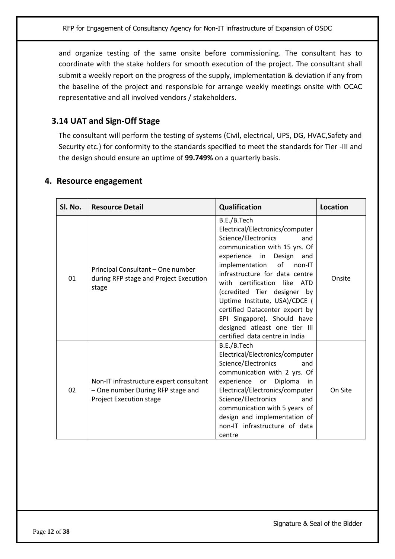٦

and organize testing of the same onsite before commissioning. The consultant has to coordinate with the stake holders for smooth execution of the project. The consultant shall submit a weekly report on the progress of the supply, implementation & deviation if any from the baseline of the project and responsible for arrange weekly meetings onsite with OCAC representative and all involved vendors / stakeholders.

### <span id="page-11-0"></span>**3.14 UAT and Sign-Off Stage**

The consultant will perform the testing of systems (Civil, electrical, UPS, DG, HVAC,Safety and Security etc.) for conformity to the standards specified to meet the standards for Tier -III and the design should ensure an uptime of **99.749%** on a quarterly basis.

#### <span id="page-11-1"></span>**4. Resource engagement**

| Sl. No. | <b>Resource Detail</b>                                                                                         | Qualification                                                                                                                                                                                                                                                                                                                                                                                                                                    | <b>Location</b> |
|---------|----------------------------------------------------------------------------------------------------------------|--------------------------------------------------------------------------------------------------------------------------------------------------------------------------------------------------------------------------------------------------------------------------------------------------------------------------------------------------------------------------------------------------------------------------------------------------|-----------------|
| 01      | Principal Consultant - One number<br>during RFP stage and Project Execution<br>stage                           | B.E./B.Tech<br>Electrical/Electronics/computer<br>Science/Electronics<br>and<br>communication with 15 yrs. Of<br>experience in Design and<br>implementation of<br>non-IT<br>infrastructure for data centre<br>with certification like<br>ATD<br>(ccredited Tier designer by<br>Uptime Institute, USA)/CDCE (<br>certified Datacenter expert by<br>EPI Singapore). Should have<br>designed atleast one tier III<br>certified data centre in India | Onsite          |
| 02      | Non-IT infrastructure expert consultant<br>- One number During RFP stage and<br><b>Project Execution stage</b> | B.E./B.Tech<br>Electrical/Electronics/computer<br>Science/Electronics<br>and<br>communication with 2 yrs. Of<br>experience or Diploma<br>in<br>Electrical/Electronics/computer<br>Science/Electronics<br>and<br>communication with 5 years of<br>design and implementation of<br>non-IT infrastructure of data<br>centre                                                                                                                         | On Site         |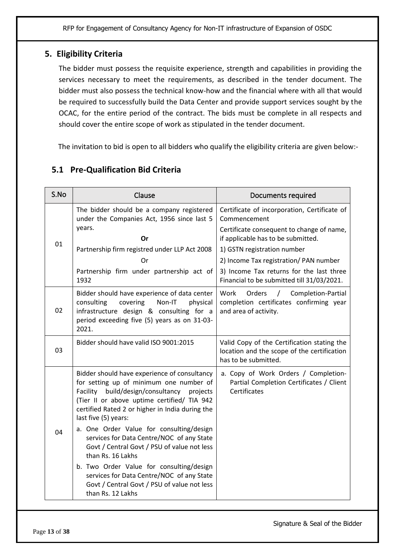٦

### <span id="page-12-0"></span>**5. Eligibility Criteria**

The bidder must possess the requisite experience, strength and capabilities in providing the services necessary to meet the requirements, as described in the tender document. The bidder must also possess the technical know-how and the financial where with all that would be required to successfully build the Data Center and provide support services sought by the OCAC, for the entire period of the contract. The bids must be complete in all respects and should cover the entire scope of work as stipulated in the tender document.

The invitation to bid is open to all bidders who qualify the eligibility criteria are given below:-

### <span id="page-12-1"></span>**5.1 Pre-Qualification Bid Criteria**

| S.No | Clause                                                                                                                                                                                                                                                             | Documents required                                                                                                   |
|------|--------------------------------------------------------------------------------------------------------------------------------------------------------------------------------------------------------------------------------------------------------------------|----------------------------------------------------------------------------------------------------------------------|
| 01   | The bidder should be a company registered<br>under the Companies Act, 1956 since last 5                                                                                                                                                                            | Certificate of incorporation, Certificate of<br>Commencement                                                         |
|      | years.<br>Or                                                                                                                                                                                                                                                       | Certificate consequent to change of name,<br>if applicable has to be submitted.                                      |
|      | Partnership firm registred under LLP Act 2008                                                                                                                                                                                                                      | 1) GSTN registration number                                                                                          |
|      | Or                                                                                                                                                                                                                                                                 | 2) Income Tax registration/ PAN number                                                                               |
|      | Partnership firm under partnership act of<br>1932                                                                                                                                                                                                                  | 3) Income Tax returns for the last three<br>Financial to be submitted till 31/03/2021.                               |
| 02   | Bidder should have experience of data center<br>consulting<br>covering<br>Non-IT<br>physical<br>infrastructure design & consulting for a<br>period exceeding five (5) years as on 31-03-<br>2021.                                                                  | Work<br>Orders<br>Completion-Partial<br>$\prime$<br>completion certificates confirming year<br>and area of activity. |
| 03   | Bidder should have valid ISO 9001:2015                                                                                                                                                                                                                             | Valid Copy of the Certification stating the<br>location and the scope of the certification<br>has to be submitted.   |
|      | Bidder should have experience of consultancy<br>for setting up of minimum one number of<br>Facility build/design/consultancy<br>projects<br>(Tier II or above uptime certified/ TIA 942<br>certified Rated 2 or higher in India during the<br>last five (5) years: | a. Copy of Work Orders / Completion-<br>Partial Completion Certificates / Client<br>Certificates                     |
| 04   | a. One Order Value for consulting/design<br>services for Data Centre/NOC of any State<br>Govt / Central Govt / PSU of value not less<br>than Rs. 16 Lakhs                                                                                                          |                                                                                                                      |
|      | b. Two Order Value for consulting/design<br>services for Data Centre/NOC of any State<br>Govt / Central Govt / PSU of value not less<br>than Rs. 12 Lakhs                                                                                                          |                                                                                                                      |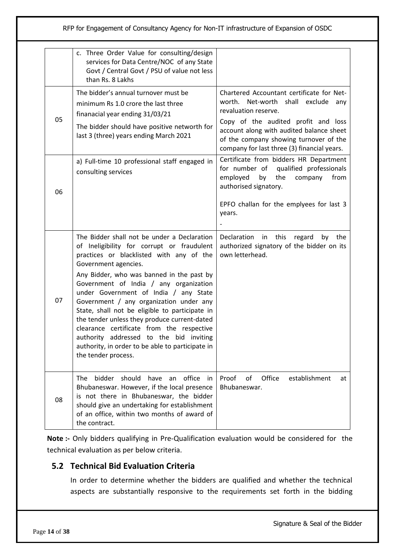|    | c. Three Order Value for consulting/design<br>services for Data Centre/NOC of any State<br>Govt / Central Govt / PSU of value not less<br>than Rs. 8 Lakhs                                                                                                                                                                                                                                                                                                                                                                                                                                                    |                                                                                                                                                                                                                                                                                        |
|----|---------------------------------------------------------------------------------------------------------------------------------------------------------------------------------------------------------------------------------------------------------------------------------------------------------------------------------------------------------------------------------------------------------------------------------------------------------------------------------------------------------------------------------------------------------------------------------------------------------------|----------------------------------------------------------------------------------------------------------------------------------------------------------------------------------------------------------------------------------------------------------------------------------------|
| 05 | The bidder's annual turnover must be<br>minimum Rs 1.0 crore the last three<br>finanacial year ending 31/03/21<br>The bidder should have positive networth for<br>last 3 (three) years ending March 2021                                                                                                                                                                                                                                                                                                                                                                                                      | Chartered Accountant certificate for Net-<br>worth. Net-worth shall exclude<br>any<br>revaluation reserve.<br>Copy of the audited profit and loss<br>account along with audited balance sheet<br>of the company showing turnover of the<br>company for last three (3) financial years. |
| 06 | a) Full-time 10 professional staff engaged in<br>consulting services                                                                                                                                                                                                                                                                                                                                                                                                                                                                                                                                          | Certificate from bidders HR Department<br>for number of<br>qualified professionals<br>employed<br>from<br>by<br>the<br>company<br>authorised signatory.<br>EPFO challan for the emplyees for last 3<br>years.                                                                          |
| 07 | The Bidder shall not be under a Declaration<br>of Ineligibility for corrupt or fraudulent<br>practices or blacklisted with any of the<br>Government agencies.<br>Any Bidder, who was banned in the past by<br>Government of India / any organization<br>under Government of India / any State<br>Government / any organization under any<br>State, shall not be eligible to participate in<br>the tender unless they produce current-dated<br>clearance certificate from the respective<br>authority addressed to the bid inviting<br>authority, in order to be able to participate in<br>the tender process. | Declaration in<br>this<br>regard<br>by<br>the<br>authorized signatory of the bidder on its<br>own letterhead.                                                                                                                                                                          |
| 08 | bidder should<br>office<br>have<br><b>The</b><br>an<br>in<br>Bhubaneswar. However, if the local presence<br>is not there in Bhubaneswar, the bidder<br>should give an undertaking for establishment<br>of an office, within two months of award of<br>the contract.                                                                                                                                                                                                                                                                                                                                           | Proof<br>of<br>Office<br>establishment<br>at<br>Bhubaneswar.                                                                                                                                                                                                                           |

**Note :-** Only bidders qualifying in Pre-Qualification evaluation would be considered for the technical evaluation as per below criteria.

### <span id="page-13-0"></span>**5.2 Technical Bid Evaluation Criteria**

In order to determine whether the bidders are qualified and whether the technical aspects are substantially responsive to the requirements set forth in the bidding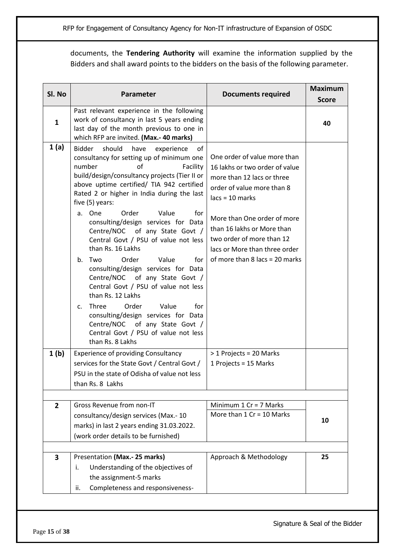٦

documents, the **Tendering Authority** will examine the information supplied by the Bidders and shall award points to the bidders on the basis of the following parameter.

| SI. No           | <b>Parameter</b>                                                                                                                                                                                                                                                                                                                                                                                                                                                                                                                                                                                                                                                                                                                                                                                                                             | <b>Documents required</b>                                                                                                                                                                                                                                                                                    | <b>Maximum</b><br><b>Score</b> |
|------------------|----------------------------------------------------------------------------------------------------------------------------------------------------------------------------------------------------------------------------------------------------------------------------------------------------------------------------------------------------------------------------------------------------------------------------------------------------------------------------------------------------------------------------------------------------------------------------------------------------------------------------------------------------------------------------------------------------------------------------------------------------------------------------------------------------------------------------------------------|--------------------------------------------------------------------------------------------------------------------------------------------------------------------------------------------------------------------------------------------------------------------------------------------------------------|--------------------------------|
| $\mathbf{1}$     | Past relevant experience in the following<br>work of consultancy in last 5 years ending<br>last day of the month previous to one in<br>which RFP are invited. (Max.- 40 marks)                                                                                                                                                                                                                                                                                                                                                                                                                                                                                                                                                                                                                                                               |                                                                                                                                                                                                                                                                                                              | 40                             |
| 1(a)             | <b>Bidder</b><br>should<br>have<br>of<br>experience<br>consultancy for setting up of minimum one<br>of<br>number<br>Facility<br>build/design/consultancy projects (Tier II or<br>above uptime certified/ TIA 942 certified<br>Rated 2 or higher in India during the last<br>five (5) years:<br>Order<br>Value<br>for<br>One<br>a.<br>consulting/design services for Data<br>Centre/NOC of any State Govt /<br>Central Govt / PSU of value not less<br>than Rs. 16 Lakhs<br>for<br>Two<br>Order<br>Value<br>b.<br>consulting/design services for Data<br>Centre/NOC of any State Govt /<br>Central Govt / PSU of value not less<br>than Rs. 12 Lakhs<br>Three<br>Order<br>Value<br>for<br>$\mathsf{c}$ .<br>consulting/design services for Data<br>Centre/NOC of any State Govt /<br>Central Govt / PSU of value not less<br>than Rs. 8 Lakhs | One order of value more than<br>16 lakhs or two order of value<br>more than 12 lacs or three<br>order of value more than 8<br>$lacs = 10 marks$<br>More than One order of more<br>than 16 lakhs or More than<br>two order of more than 12<br>lacs or More than three order<br>of more than 8 lacs = 20 marks |                                |
| 1 <sub>(b)</sub> | <b>Experience of providing Consultancy</b><br>services for the State Govt / Central Govt /<br>PSU in the state of Odisha of value not less<br>than Rs. 8 Lakhs                                                                                                                                                                                                                                                                                                                                                                                                                                                                                                                                                                                                                                                                               | > 1 Projects = 20 Marks<br>1 Projects = 15 Marks                                                                                                                                                                                                                                                             |                                |
| $\overline{2}$   | Gross Revenue from non-IT<br>consultancy/design services (Max.- 10<br>marks) in last 2 years ending 31.03.2022.<br>(work order details to be furnished)                                                                                                                                                                                                                                                                                                                                                                                                                                                                                                                                                                                                                                                                                      | Minimum $1$ Cr = 7 Marks<br>More than $1 Cr = 10$ Marks                                                                                                                                                                                                                                                      | 10                             |
| 3                | Presentation (Max.- 25 marks)<br>Understanding of the objectives of<br>i.<br>the assignment-5 marks<br>Completeness and responsiveness-<br>ii.                                                                                                                                                                                                                                                                                                                                                                                                                                                                                                                                                                                                                                                                                               | Approach & Methodology                                                                                                                                                                                                                                                                                       | 25                             |

֦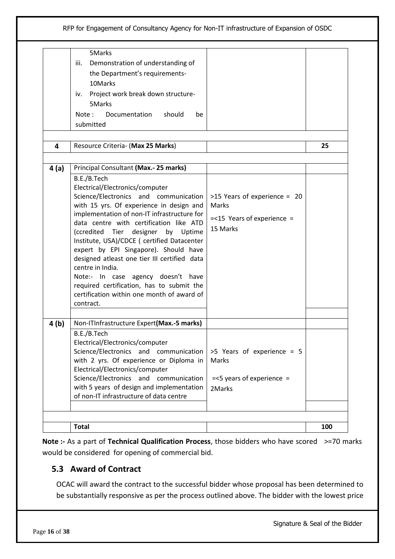|      | 5Marks<br>Demonstration of understanding of<br>iii.<br>the Department's requirements-<br>10Marks<br>Project work break down structure-<br>iv.<br>5Marks<br>Documentation<br>should<br>Note:<br>be<br>submitted                                                                                                                                                                                                                                                                                                                                                                                                         |                                                                                      |     |
|------|------------------------------------------------------------------------------------------------------------------------------------------------------------------------------------------------------------------------------------------------------------------------------------------------------------------------------------------------------------------------------------------------------------------------------------------------------------------------------------------------------------------------------------------------------------------------------------------------------------------------|--------------------------------------------------------------------------------------|-----|
| 4    | Resource Criteria- (Max 25 Marks)                                                                                                                                                                                                                                                                                                                                                                                                                                                                                                                                                                                      |                                                                                      | 25  |
| 4(a) | Principal Consultant (Max.- 25 marks)<br>B.E./B.Tech<br>Electrical/Electronics/computer<br>Science/Electronics and communication<br>with 15 yrs. Of experience in design and<br>implementation of non-IT infrastructure for<br>data centre with certification like ATD<br>(ccredited Tier designer by Uptime<br>Institute, USA)/CDCE ( certified Datacenter<br>expert by EPI Singapore). Should have<br>designed atleast one tier III certified data<br>centre in India.<br>Note:- In case agency doesn't have<br>required certification, has to submit the<br>certification within one month of award of<br>contract. | $>15$ Years of experience = 20<br>Marks<br>$=<$ 15 Years of experience =<br>15 Marks |     |
| 4(b) | Non-ITInfrastructure Expert(Max.-5 marks)<br>B.E./B.Tech<br>Electrical/Electronics/computer<br>Science/Electronics and communication<br>with 2 yrs. Of experience or Diploma in<br>Electrical/Electronics/computer<br>Science/Electronics and communication<br>with 5 years of design and implementation<br>of non-IT infrastructure of data centre                                                                                                                                                                                                                                                                    | >5 Years of experience = 5<br>Marks<br>$=<$ 5 years of experience $=$<br>2Marks      |     |
|      | <b>Total</b>                                                                                                                                                                                                                                                                                                                                                                                                                                                                                                                                                                                                           |                                                                                      | 100 |

**Note :-** As a part of **Technical Qualification Process**, those bidders who have scored >=70 marks would be considered for opening of commercial bid.

### <span id="page-15-0"></span>**5.3 Award of Contract**

OCAC will award the contract to the successful bidder whose proposal has been determined to be substantially responsive as per the process outlined above. The bidder with the lowest price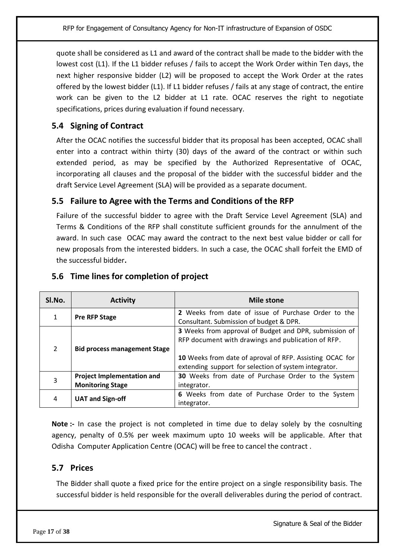٦

quote shall be considered as L1 and award of the contract shall be made to the bidder with the lowest cost (L1). If the L1 bidder refuses / fails to accept the Work Order within Ten days, the next higher responsive bidder (L2) will be proposed to accept the Work Order at the rates offered by the lowest bidder (L1). If L1 bidder refuses / fails at any stage of contract, the entire work can be given to the L2 bidder at L1 rate. OCAC reserves the right to negotiate specifications, prices during evaluation if found necessary.

#### <span id="page-16-0"></span>**5.4 Signing of Contract**

After the OCAC notifies the successful bidder that its proposal has been accepted, OCAC shall enter into a contract within thirty (30) days of the award of the contract or within such extended period, as may be specified by the Authorized Representative of OCAC, incorporating all clauses and the proposal of the bidder with the successful bidder and the draft Service Level Agreement (SLA) will be provided as a separate document.

#### <span id="page-16-1"></span>**5.5 Failure to Agree with the Terms and Conditions of the RFP**

Failure of the successful bidder to agree with the Draft Service Level Agreement (SLA) and Terms & Conditions of the RFP shall constitute sufficient grounds for the annulment of the award. In such case OCAC may award the contract to the next best value bidder or call for new proposals from the interested bidders. In such a case, the OCAC shall forfeit the EMD of the successful bidder**.**

| SI.No.        | <b>Activity</b>                                              | <b>Mile stone</b>                                                                                                                                                                                                                 |
|---------------|--------------------------------------------------------------|-----------------------------------------------------------------------------------------------------------------------------------------------------------------------------------------------------------------------------------|
|               | <b>Pre RFP Stage</b>                                         | 2 Weeks from date of issue of Purchase Order to the<br>Consultant. Submission of budget & DPR.                                                                                                                                    |
| $\mathcal{P}$ | <b>Bid process management Stage</b>                          | 3 Weeks from approval of Budget and DPR, submission of<br>RFP document with drawings and publication of RFP.<br>10 Weeks from date of aproval of RFP. Assisting OCAC for<br>extending support for selection of system integrator. |
| 3             | <b>Project Implementation and</b><br><b>Monitoring Stage</b> | 30 Weeks from date of Purchase Order to the System<br>integrator.                                                                                                                                                                 |
| 4             | <b>UAT and Sign-off</b>                                      | 6 Weeks from date of Purchase Order to the System<br>integrator.                                                                                                                                                                  |

#### <span id="page-16-2"></span>**5.6 Time lines for completion of project**

**Note :-** In case the project is not completed in time due to delay solely by the cosnulting agency, penalty of 0.5% per week maximum upto 10 weeks will be applicable. After that Odisha Computer Application Centre (OCAC) will be free to cancel the contract .

#### <span id="page-16-3"></span>**5.7 Prices**

The Bidder shall quote a fixed price for the entire project on a single responsibility basis. The successful bidder is held responsible for the overall deliverables during the period of contract.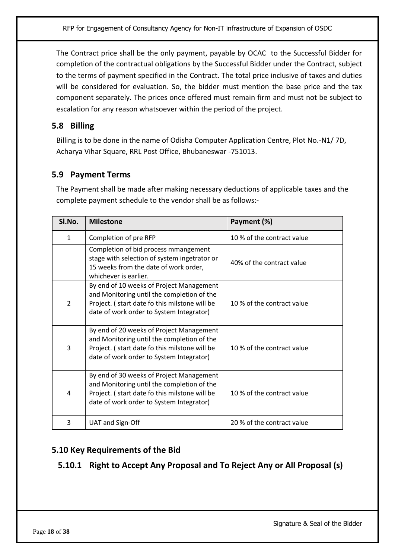٦

The Contract price shall be the only payment, payable by OCAC to the Successful Bidder for completion of the contractual obligations by the Successful Bidder under the Contract, subject to the terms of payment specified in the Contract. The total price inclusive of taxes and duties will be considered for evaluation. So, the bidder must mention the base price and the tax component separately. The prices once offered must remain firm and must not be subject to escalation for any reason whatsoever within the period of the project.

### <span id="page-17-0"></span>**5.8 Billing**

Billing is to be done in the name of Odisha Computer Application Centre, Plot No.-N1/ 7D, Acharya Vihar Square, RRL Post Office, Bhubaneswar -751013.

### <span id="page-17-1"></span>**5.9 Payment Terms**

The Payment shall be made after making necessary deductions of applicable taxes and the complete payment schedule to the vendor shall be as follows:-

| SI.No.         | <b>Milestone</b>                                                                                                                                                                    | Payment (%)                |
|----------------|-------------------------------------------------------------------------------------------------------------------------------------------------------------------------------------|----------------------------|
| $\mathbf{1}$   | Completion of pre RFP                                                                                                                                                               | 10 % of the contract value |
|                | Completion of bid process mmangement<br>stage with selection of system ingetrator or<br>15 weeks from the date of work order,<br>whichever is earlier.                              | 40% of the contract value  |
| $\overline{2}$ | By end of 10 weeks of Project Management<br>and Monitoring until the completion of the<br>Project. (start date fo this milstone will be<br>date of work order to System Integrator) | 10 % of the contract value |
| 3              | By end of 20 weeks of Project Management<br>and Monitoring until the completion of the<br>Project. (start date fo this milstone will be<br>date of work order to System Integrator) | 10 % of the contract value |
| 4              | By end of 30 weeks of Project Management<br>and Monitoring until the completion of the<br>Project. (start date fo this milstone will be<br>date of work order to System Integrator) | 10 % of the contract value |
| 3              | UAT and Sign-Off                                                                                                                                                                    | 20 % of the contract value |

### <span id="page-17-3"></span><span id="page-17-2"></span>**5.10 Key Requirements of the Bid**

### **5.10.1 Right to Accept Any Proposal and To Reject Any or All Proposal (s)**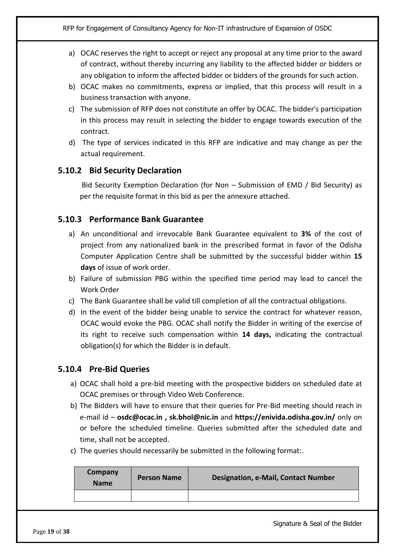٦

- a) OCAC reserves the right to accept or reject any proposal at any time prior to the award of contract, without thereby incurring any liability to the affected bidder or bidders or any obligation to inform the affected bidder or bidders of the grounds for such action.
- b) OCAC makes no commitments, express or implied, that this process will result in a business transaction with anyone.
- c) The submission of RFP does not constitute an offer by OCAC. The bidder's participation in this process may result in selecting the bidder to engage towards execution of the contract.
- d) The type of services indicated in this RFP are indicative and may change as per the actual requirement.

#### <span id="page-18-0"></span>**5.10.2 Bid Security Declaration**

Bid Security Exemption Declaration (for Non – Submission of EMD / Bid Security) as per the requisite format in this bid as per the annexure attached.

### <span id="page-18-1"></span>**5.10.3 Performance Bank Guarantee**

- a) An unconditional and irrevocable Bank Guarantee equivalent to **3%** of the cost of project from any nationalized bank in the prescribed format in favor of the Odisha Computer Application Centre shall be submitted by the successful bidder within **15 days** of issue of work order.
- b) Failure of submission PBG within the specified time period may lead to cancel the Work Order
- c) The Bank Guarantee shall be valid till completion of all the contractual obligations.
- d) In the event of the bidder being unable to service the contract for whatever reason, OCAC would evoke the PBG. OCAC shall notify the Bidder in writing of the exercise of its right to receive such compensation within **14 days,** indicating the contractual obligation(s) for which the Bidder is in default.

#### <span id="page-18-2"></span>**5.10.4 Pre-Bid Queries**

- a) OCAC shall hold a pre-bid meeting with the prospective bidders on scheduled date at OCAC premises or through Video Web Conference.
- b) The Bidders will have to ensure that their queries for Pre-Bid meeting should reach in e-mail id – **osdc@ocac.in , sk.bhol@nic.in** and **https://enivida.odisha.gov.in/** only on or before the scheduled timeline. Queries submitted after the scheduled date and time, shall not be accepted.
- c) The queries should necessarily be submitted in the following format:.

| Company<br><b>Name</b> | <b>Person Name</b> | <b>Designation, e-Mail, Contact Number</b> |
|------------------------|--------------------|--------------------------------------------|
|                        |                    |                                            |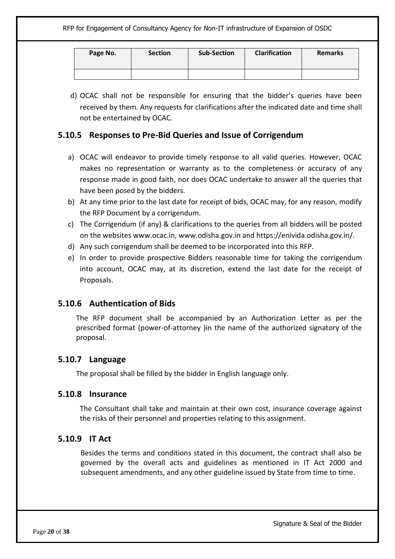| Page No. | <b>Section</b> | <b>Sub-Section</b> | <b>Clarification</b> | <b>Remarks</b> |
|----------|----------------|--------------------|----------------------|----------------|
|          |                |                    |                      |                |
|          |                |                    |                      |                |
|          |                |                    |                      |                |
|          |                |                    |                      |                |

d) OCAC shall not be responsible for ensuring that the bidder's queries have been received by them. Any requests for clarifications after the indicated date and time shall not be entertained by OCAC.

### <span id="page-19-0"></span>**5.10.5 Responses to Pre-Bid Queries and Issue of Corrigendum**

- a) OCAC will endeavor to provide timely response to all valid queries. However, OCAC makes no representation or warranty as to the completeness or accuracy of any response made in good faith, nor does OCAC undertake to answer all the queries that have been posed by the bidders.
- b) At any time prior to the last date for receipt of bids, OCAC may, for any reason, modify the RFP Document by a corrigendum.
- c) The Corrigendum (if any) & clarifications to the queries from all bidders will be posted on the websites www.ocac.in, www.odisha.gov.in and https://enivida.odisha.gov.in/.
- d) Any such corrigendum shall be deemed to be incorporated into this RFP.
- e) In order to provide prospective Bidders reasonable time for taking the corrigendum into account, OCAC may, at its discretion, extend the last date for the receipt of Proposals.

### <span id="page-19-1"></span>**5.10.6 Authentication of Bids**

The RFP document shall be accompanied by an Authorization Letter as per the prescribed format (power-of-attorney )in the name of the authorized signatory of the proposal.

### <span id="page-19-2"></span>**5.10.7 Language**

The proposal shall be filled by the bidder in English language only.

### <span id="page-19-3"></span>**5.10.8 Insurance**

The Consultant shall take and maintain at their own cost, insurance coverage against the risks of their personnel and properties relating to this assignment.

### <span id="page-19-4"></span>**5.10.9 IT Act**

Besides the terms and conditions stated in this document, the contract shall also be governed by the overall acts and guidelines as mentioned in IT Act 2000 and subsequent amendments, and any other guideline issued by State from time to time.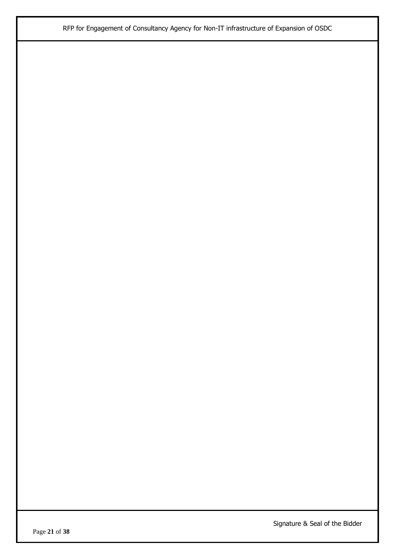٦

֦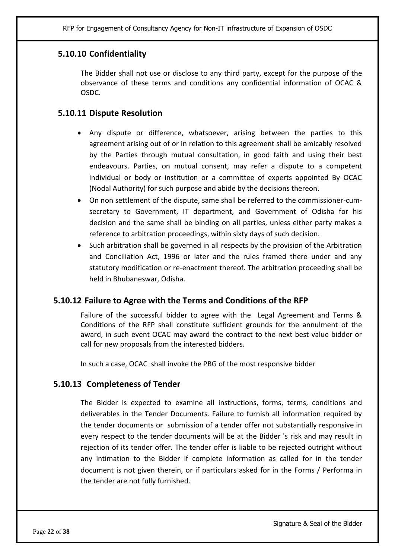٦

### <span id="page-21-0"></span>**5.10.10 Confidentiality**

The Bidder shall not use or disclose to any third party, except for the purpose of the observance of these terms and conditions any confidential information of OCAC & OSDC.

### <span id="page-21-1"></span>**5.10.11 Dispute Resolution**

- Any dispute or difference, whatsoever, arising between the parties to this agreement arising out of or in relation to this agreement shall be amicably resolved by the Parties through mutual consultation, in good faith and using their best endeavours. Parties, on mutual consent, may refer a dispute to a competent individual or body or institution or a committee of experts appointed By OCAC (Nodal Authority) for such purpose and abide by the decisions thereon.
- On non settlement of the dispute, same shall be referred to the commissioner-cumsecretary to Government, IT department, and Government of Odisha for his decision and the same shall be binding on all parties, unless either party makes a reference to arbitration proceedings, within sixty days of such decision.
- Such arbitration shall be governed in all respects by the provision of the Arbitration and Conciliation Act, 1996 or later and the rules framed there under and any statutory modification or re-enactment thereof. The arbitration proceeding shall be held in Bhubaneswar, Odisha.

#### <span id="page-21-2"></span>**5.10.12 Failure to Agree with the Terms and Conditions of the RFP**

Failure of the successful bidder to agree with the Legal Agreement and Terms & Conditions of the RFP shall constitute sufficient grounds for the annulment of the award, in such event OCAC may award the contract to the next best value bidder or call for new proposals from the interested bidders.

<span id="page-21-3"></span>In such a case, OCAC shall invoke the PBG of the most responsive bidder

### **5.10.13 Completeness of Tender**

The Bidder is expected to examine all instructions, forms, terms, conditions and deliverables in the Tender Documents. Failure to furnish all information required by the tender documents or submission of a tender offer not substantially responsive in every respect to the tender documents will be at the Bidder 's risk and may result in rejection of its tender offer. The tender offer is liable to be rejected outright without any intimation to the Bidder if complete information as called for in the tender document is not given therein, or if particulars asked for in the Forms / Performa in the tender are not fully furnished.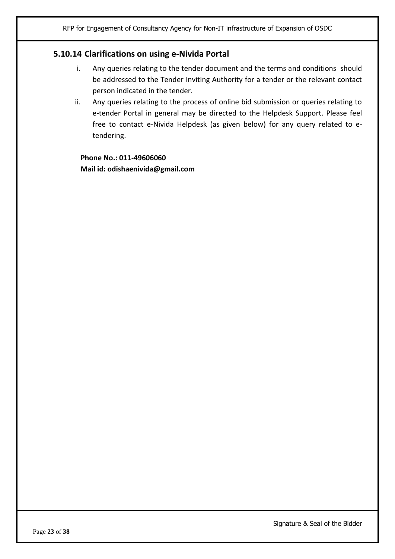#### <span id="page-22-0"></span>**5.10.14 Clarifications on using e-Nivida Portal**

٦

- i. Any queries relating to the tender document and the terms and conditions should be addressed to the Tender Inviting Authority for a tender or the relevant contact person indicated in the tender.
- ii. Any queries relating to the process of online bid submission or queries relating to e-tender Portal in general may be directed to the Helpdesk Support. Please feel free to contact e-Nivida Helpdesk (as given below) for any query related to etendering.

#### **Phone No.: 011-49606060**

**Mail id: odishaenivida@gmail.com**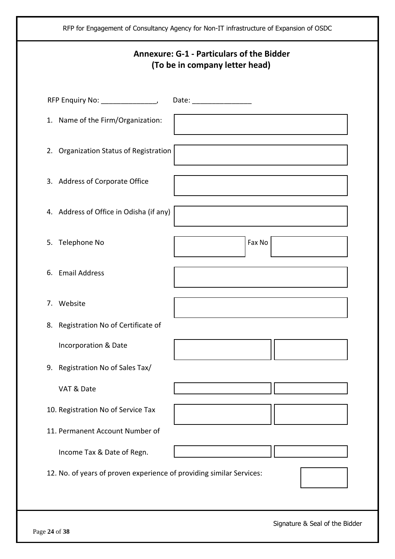<span id="page-23-0"></span>

Page **24** of **38**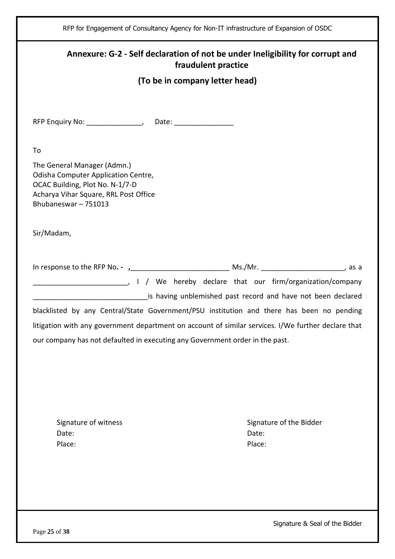<span id="page-24-0"></span>

| RFP for Engagement of Consultancy Agency for Non-IT infrastructure of Expansion of OSDC                                                                              |                         |  |  |  |
|----------------------------------------------------------------------------------------------------------------------------------------------------------------------|-------------------------|--|--|--|
| Annexure: G-2 - Self declaration of not be under Ineligibility for corrupt and<br>fraudulent practice                                                                |                         |  |  |  |
| (To be in company letter head)                                                                                                                                       |                         |  |  |  |
|                                                                                                                                                                      |                         |  |  |  |
|                                                                                                                                                                      |                         |  |  |  |
| To                                                                                                                                                                   |                         |  |  |  |
| The General Manager (Admn.)<br>Odisha Computer Application Centre,<br>OCAC Building, Plot No. N-1/7-D<br>Acharya Vihar Square, RRL Post Office<br>Bhubaneswar-751013 |                         |  |  |  |
| Sir/Madam,                                                                                                                                                           |                         |  |  |  |
|                                                                                                                                                                      |                         |  |  |  |
| Land Me hereby declare that our firm/organization/company (1) / We hereby declare that our firm/organization/company                                                 |                         |  |  |  |
| is having unblemished past record and have not been declared                                                                                                         |                         |  |  |  |
| blacklisted by any Central/State Government/PSU institution and there has been no pending                                                                            |                         |  |  |  |
| litigation with any government department on account of similar services. I/We further declare that                                                                  |                         |  |  |  |
| our company has not defaulted in executing any Government order in the past.                                                                                         |                         |  |  |  |
|                                                                                                                                                                      |                         |  |  |  |
| Signature of witness                                                                                                                                                 | Signature of the Bidder |  |  |  |
| Date:                                                                                                                                                                | Date:                   |  |  |  |
| Place:                                                                                                                                                               | Place:                  |  |  |  |
|                                                                                                                                                                      |                         |  |  |  |
|                                                                                                                                                                      |                         |  |  |  |
|                                                                                                                                                                      |                         |  |  |  |
|                                                                                                                                                                      |                         |  |  |  |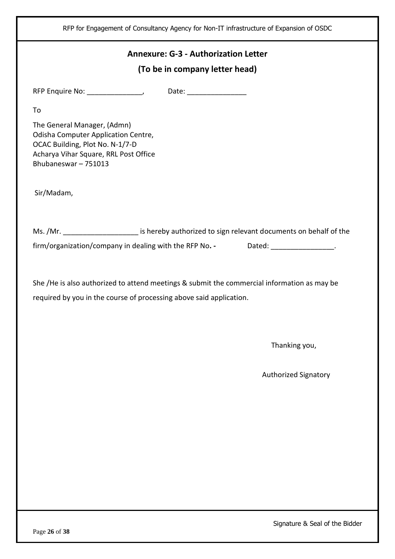<span id="page-25-0"></span>

|                                                                                                                                                                      | RFP for Engagement of Consultancy Agency for Non-IT infrastructure of Expansion of OSDC |                                                                                                  |
|----------------------------------------------------------------------------------------------------------------------------------------------------------------------|-----------------------------------------------------------------------------------------|--------------------------------------------------------------------------------------------------|
|                                                                                                                                                                      | <b>Annexure: G-3 - Authorization Letter</b>                                             |                                                                                                  |
|                                                                                                                                                                      | (To be in company letter head)                                                          |                                                                                                  |
|                                                                                                                                                                      | Date: ___________________                                                               |                                                                                                  |
| To                                                                                                                                                                   |                                                                                         |                                                                                                  |
| The General Manager, (Admn)<br>Odisha Computer Application Centre,<br>OCAC Building, Plot No. N-1/7-D<br>Acharya Vihar Square, RRL Post Office<br>Bhubaneswar-751013 |                                                                                         |                                                                                                  |
| Sir/Madam,                                                                                                                                                           |                                                                                         |                                                                                                  |
|                                                                                                                                                                      |                                                                                         | Ms. /Mr. ______________________ is hereby authorized to sign relevant documents on behalf of the |
|                                                                                                                                                                      |                                                                                         | firm/organization/company in dealing with the RFP No. - Dated: ________________.                 |
|                                                                                                                                                                      | required by you in the course of processing above said application.                     | She /He is also authorized to attend meetings & submit the commercial information as may be      |
|                                                                                                                                                                      |                                                                                         | Thanking you,                                                                                    |
|                                                                                                                                                                      |                                                                                         | Authorized Signatory                                                                             |
|                                                                                                                                                                      |                                                                                         |                                                                                                  |
|                                                                                                                                                                      |                                                                                         |                                                                                                  |
|                                                                                                                                                                      |                                                                                         |                                                                                                  |
|                                                                                                                                                                      |                                                                                         |                                                                                                  |

֦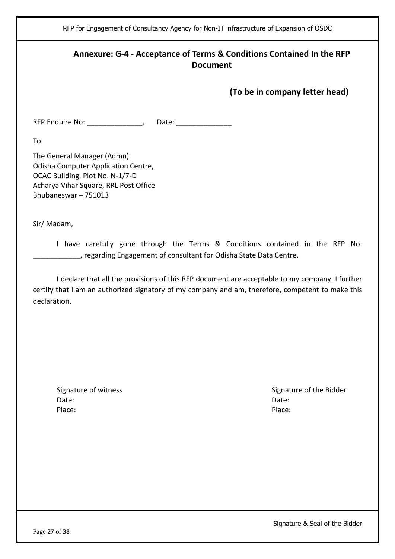<span id="page-26-0"></span>RFP for Engagement of Consultancy Agency for Non-IT infrastructure of Expansion of OSDC ٦ **Annexure: G-4 - Acceptance of Terms & Conditions Contained In the RFP Document (To be in company letter head)** RFP Enquire No: \_\_\_\_\_\_\_\_\_\_\_\_\_\_, Date: \_\_\_\_\_\_\_\_\_\_\_\_\_\_ To The General Manager (Admn) Odisha Computer Application Centre, OCAC Building, Plot No. N-1/7-D Acharya Vihar Square, RRL Post Office Bhubaneswar – 751013 Sir/ Madam, I have carefully gone through the Terms & Conditions contained in the RFP No: **\_\_\_\_\_**, regarding Engagement of consultant for Odisha State Data Centre. I declare that all the provisions of this RFP document are acceptable to my company. I further certify that I am an authorized signatory of my company and am, therefore, competent to make this declaration. Signature of witness Signature of the Bidder Date: Date: Place: Place: Place: Place: Place: Place: Place: Place: Place: Place: Place: Place: Place: Place: Place: Place: Place: Place: Place: Place: Place: Place: Place: Place: Place: Place: Place: Place: Place: Place: Place: Place

֦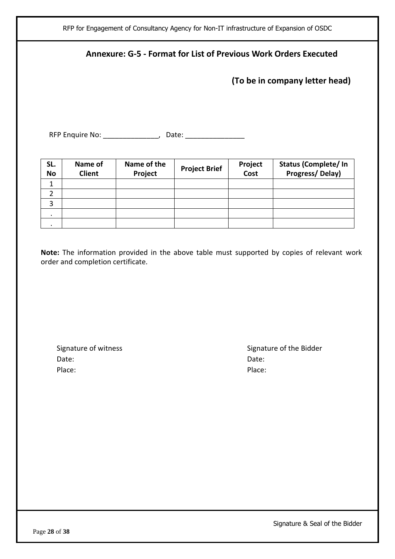### <span id="page-27-0"></span>**Annexure: G-5 - Format for List of Previous Work Orders Executed**

 **(To be in company letter head)**

RFP Enquire No: \_\_\_\_\_\_\_\_\_\_\_\_\_\_, Date: \_\_\_\_\_\_\_\_\_\_\_\_\_\_\_

٦

| SL.<br><b>No</b> | Name of<br><b>Client</b> | Name of the<br>Project | <b>Project Brief</b> | Project<br>Cost | <b>Status (Complete/In</b><br><b>Progress/Delay)</b> |
|------------------|--------------------------|------------------------|----------------------|-----------------|------------------------------------------------------|
|                  |                          |                        |                      |                 |                                                      |
| 2                |                          |                        |                      |                 |                                                      |
| 3                |                          |                        |                      |                 |                                                      |
|                  |                          |                        |                      |                 |                                                      |
|                  |                          |                        |                      |                 |                                                      |

**Note:** The information provided in the above table must supported by copies of relevant work order and completion certificate.

| Signature of witness | Signat |
|----------------------|--------|
| Date:                | Date:  |
| Place:               | Place: |

Signature of the Bidder

֦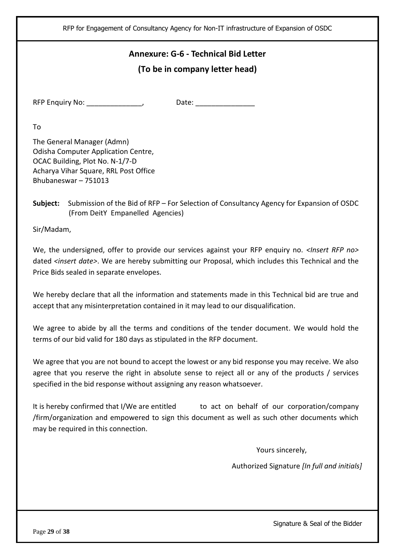### **Annexure: G-6 - Technical Bid Letter**

**(To be in company letter head)**

<span id="page-28-0"></span>RFP Enquiry No: The contract of the Date:  $\overline{a}$ 

٦

To

The General Manager (Admn) Odisha Computer Application Centre, OCAC Building, Plot No. N-1/7-D Acharya Vihar Square, RRL Post Office Bhubaneswar – 751013

**Subject:** Submission of the Bid of RFP – For Selection of Consultancy Agency for Expansion of OSDC (From DeitY Empanelled Agencies)

Sir/Madam,

We, the undersigned, offer to provide our services against your RFP enquiry no. *<Insert RFP no>* dated *<insert date>*. We are hereby submitting our Proposal, which includes this Technical and the Price Bids sealed in separate envelopes.

We hereby declare that all the information and statements made in this Technical bid are true and accept that any misinterpretation contained in it may lead to our disqualification.

We agree to abide by all the terms and conditions of the tender document. We would hold the terms of our bid valid for 180 days as stipulated in the RFP document.

We agree that you are not bound to accept the lowest or any bid response you may receive. We also agree that you reserve the right in absolute sense to reject all or any of the products / services specified in the bid response without assigning any reason whatsoever.

It is hereby confirmed that I/We are entitled to act on behalf of our corporation/company /firm/organization and empowered to sign this document as well as such other documents which may be required in this connection.

Yours sincerely,

Authorized Signature *[In full and initials]* 

֦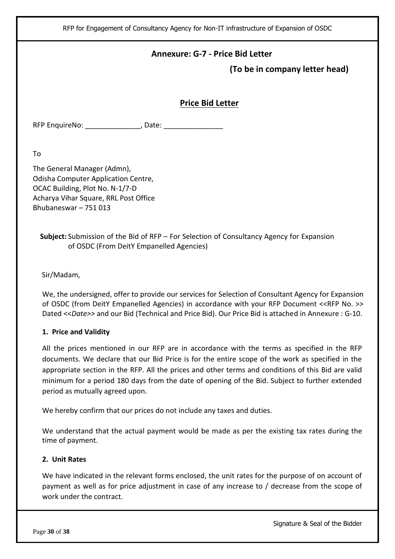<span id="page-29-0"></span>RFP for Engagement of Consultancy Agency for Non-IT infrastructure of Expansion of OSDC ٦ **Annexure: G-7 - Price Bid Letter (To be in company letter head) Price Bid Letter** RFP EnquireNo: \_\_\_\_\_\_\_\_\_\_\_\_\_\_\_, Date: \_ To The General Manager (Admn), Odisha Computer Application Centre, OCAC Building, Plot No. N-1/7-D Acharya Vihar Square, RRL Post Office Bhubaneswar – 751 013  **Subject:** Submission of the Bid of RFP – For Selection of Consultancy Agency for Expansion of OSDC (From DeitY Empanelled Agencies) Sir/Madam, We, the undersigned, offer to provide our services for Selection of Consultant Agency for Expansion of OSDC (from DeitY Empanelled Agencies) in accordance with your RFP Document <<RFP No. >> Dated <<*Date>>* and our Bid (Technical and Price Bid). Our Price Bid is attached in Annexure : G-10. **1. Price and Validity** All the prices mentioned in our RFP are in accordance with the terms as specified in the RFP documents. We declare that our Bid Price is for the entire scope of the work as specified in the appropriate section in the RFP. All the prices and other terms and conditions of this Bid are valid minimum for a period 180 days from the date of opening of the Bid. Subject to further extended period as mutually agreed upon. We hereby confirm that our prices do not include any taxes and duties. We understand that the actual payment would be made as per the existing tax rates during the time of payment. **2. Unit Rates**

We have indicated in the relevant forms enclosed, the unit rates for the purpose of on account of payment as well as for price adjustment in case of any increase to / decrease from the scope of work under the contract.

֦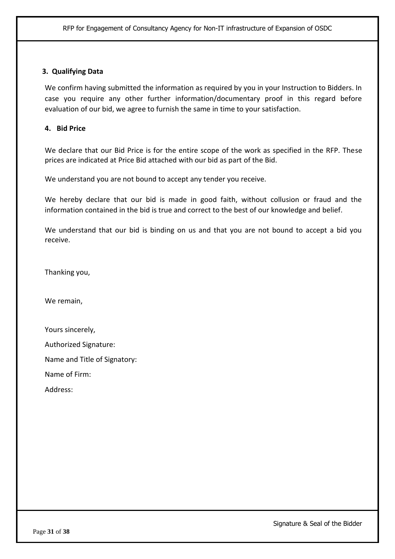#### **3. Qualifying Data**

We confirm having submitted the information as required by you in your Instruction to Bidders. In case you require any other further information/documentary proof in this regard before evaluation of our bid, we agree to furnish the same in time to your satisfaction.

#### **4. Bid Price**

We declare that our Bid Price is for the entire scope of the work as specified in the RFP. These prices are indicated at Price Bid attached with our bid as part of the Bid.

We understand you are not bound to accept any tender you receive.

٦

We hereby declare that our bid is made in good faith, without collusion or fraud and the information contained in the bid is true and correct to the best of our knowledge and belief.

We understand that our bid is binding on us and that you are not bound to accept a bid you receive.

Thanking you,

We remain,

Yours sincerely,

Authorized Signature:

Name and Title of Signatory:

Name of Firm:

Address:

֦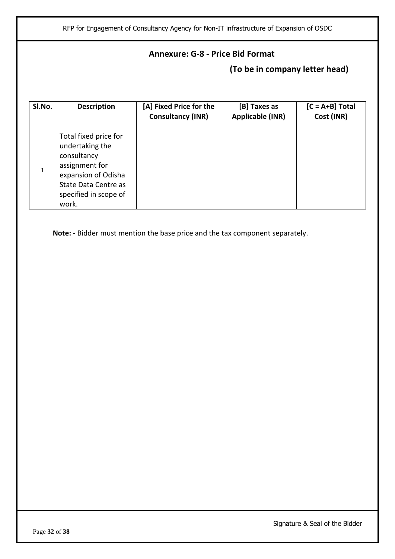٦

### **Annexure: G-8 - Price Bid Format**

### **(To be in company letter head)**

<span id="page-31-0"></span>

| SI.No. | <b>Description</b>                                                                                                                                         | [A] Fixed Price for the<br><b>Consultancy (INR)</b> | [B] Taxes as<br>Applicable (INR) | $[C = A+B]$ Total<br>Cost (INR) |
|--------|------------------------------------------------------------------------------------------------------------------------------------------------------------|-----------------------------------------------------|----------------------------------|---------------------------------|
|        | Total fixed price for<br>undertaking the<br>consultancy<br>assignment for<br>expansion of Odisha<br>State Data Centre as<br>specified in scope of<br>work. |                                                     |                                  |                                 |

**Note: -** Bidder must mention the base price and the tax component separately.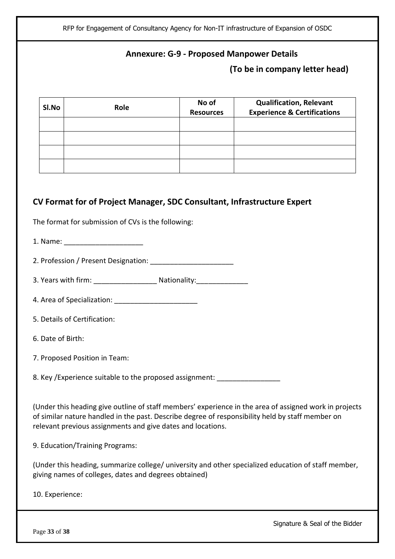٦

### **Annexure: G-9 - Proposed Manpower Details**

### **(To be in company letter head)**

<span id="page-32-0"></span>

| SI.No | Role | No of<br><b>Resources</b> | <b>Qualification, Relevant</b><br><b>Experience &amp; Certifications</b> |
|-------|------|---------------------------|--------------------------------------------------------------------------|
|       |      |                           |                                                                          |
|       |      |                           |                                                                          |
|       |      |                           |                                                                          |
|       |      |                           |                                                                          |

### **CV Format for of Project Manager, SDC Consultant, Infrastructure Expert**

The format for submission of CVs is the following:

1. Name:

2. Profession / Present Designation:

3. Years with firm: example a Nationality:

4. Area of Specialization: \_\_\_\_\_\_\_\_\_\_\_\_\_\_\_\_\_\_\_\_\_

5. Details of Certification:

6. Date of Birth:

7. Proposed Position in Team:

8. Key / Experience suitable to the proposed assignment: \_\_\_\_\_\_\_\_\_\_\_\_\_\_\_\_\_\_\_\_\_\_\_

(Under this heading give outline of staff members' experience in the area of assigned work in projects of similar nature handled in the past. Describe degree of responsibility held by staff member on relevant previous assignments and give dates and locations.

9. Education/Training Programs:

(Under this heading, summarize college/ university and other specialized education of staff member, giving names of colleges, dates and degrees obtained)

10. Experience:

Page **33** of **38**

֦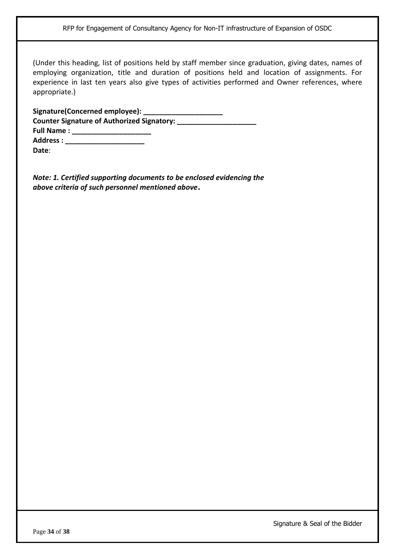(Under this heading, list of positions held by staff member since graduation, giving dates, names of employing organization, title and duration of positions held and location of assignments. For experience in last ten years also give types of activities performed and Owner references, where appropriate.)

| Signature(Concerned employee):                    |  |
|---------------------------------------------------|--|
| <b>Counter Signature of Authorized Signatory:</b> |  |
| <b>Full Name:</b>                                 |  |
| <b>Address:</b>                                   |  |
| Date:                                             |  |

٦

*Note: 1. Certified supporting documents to be enclosed evidencing the above criteria of such personnel mentioned above.*

֦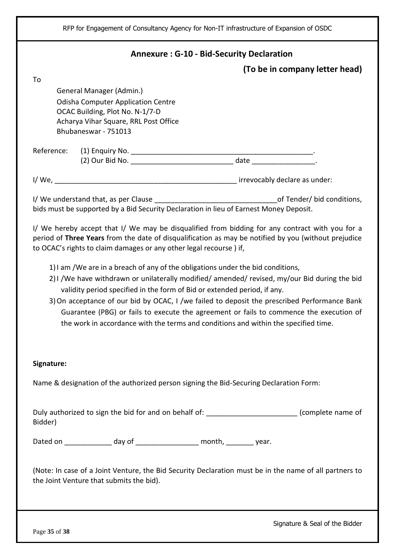٦

|  |  | <b>Annexure: G-10 - Bid-Security Declaration</b> |  |
|--|--|--------------------------------------------------|--|
|--|--|--------------------------------------------------|--|

**(To be in company letter head)**

<span id="page-34-0"></span>To

| 10         | General Manager (Admin.)<br><b>Odisha Computer Application Centre</b><br>OCAC Building, Plot No. N-1/7-D<br>Acharya Vihar Square, RRL Post Office                                                                                                  |                                                                                                                                                                                                                                                                                          |  |
|------------|----------------------------------------------------------------------------------------------------------------------------------------------------------------------------------------------------------------------------------------------------|------------------------------------------------------------------------------------------------------------------------------------------------------------------------------------------------------------------------------------------------------------------------------------------|--|
|            | Bhubaneswar - 751013                                                                                                                                                                                                                               |                                                                                                                                                                                                                                                                                          |  |
|            |                                                                                                                                                                                                                                                    |                                                                                                                                                                                                                                                                                          |  |
|            |                                                                                                                                                                                                                                                    |                                                                                                                                                                                                                                                                                          |  |
|            | bids must be supported by a Bid Security Declaration in lieu of Earnest Money Deposit.                                                                                                                                                             |                                                                                                                                                                                                                                                                                          |  |
|            | to OCAC's rights to claim damages or any other legal recourse) if,                                                                                                                                                                                 | I/ We hereby accept that I/ We may be disqualified from bidding for any contract with you for a<br>period of Three Years from the date of disqualification as may be notified by you (without prejudice                                                                                  |  |
|            | 1) I am /We are in a breach of any of the obligations under the bid conditions,<br>validity period specified in the form of Bid or extended period, if any.<br>the work in accordance with the terms and conditions and within the specified time. | 2) I /We have withdrawn or unilaterally modified/ amended/ revised, my/our Bid during the bid<br>3) On acceptance of our bid by OCAC, I /we failed to deposit the prescribed Performance Bank<br>Guarantee (PBG) or fails to execute the agreement or fails to commence the execution of |  |
| Signature: |                                                                                                                                                                                                                                                    |                                                                                                                                                                                                                                                                                          |  |
|            | Name & designation of the authorized person signing the Bid-Securing Declaration Form:                                                                                                                                                             |                                                                                                                                                                                                                                                                                          |  |
| Bidder)    |                                                                                                                                                                                                                                                    | Duly authorized to sign the bid for and on behalf of: _________________________(complete name of                                                                                                                                                                                         |  |
|            | Dated on _______________ day of ____________________ month, __________ year.                                                                                                                                                                       |                                                                                                                                                                                                                                                                                          |  |
|            | the Joint Venture that submits the bid).                                                                                                                                                                                                           | (Note: In case of a Joint Venture, the Bid Security Declaration must be in the name of all partners to                                                                                                                                                                                   |  |

֦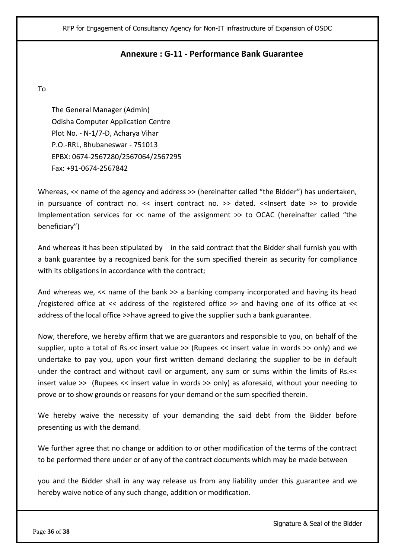٦

### **Annexure : G-11 - Performance Bank Guarantee**

<span id="page-35-0"></span>To

The General Manager (Admin) Odisha Computer Application Centre Plot No. - N-1/7-D, Acharya Vihar P.O.-RRL, Bhubaneswar - 751013 EPBX: 0674-2567280/2567064/2567295 Fax: +91-0674-2567842

Whereas, << name of the agency and address >> (hereinafter called "the Bidder") has undertaken, in pursuance of contract no. << insert contract no. >> dated. <<Insert date >> to provide Implementation services for << name of the assignment >> to OCAC (hereinafter called "the beneficiary")

And whereas it has been stipulated by in the said contract that the Bidder shall furnish you with a bank guarantee by a recognized bank for the sum specified therein as security for compliance with its obligations in accordance with the contract;

And whereas we, << name of the bank >> a banking company incorporated and having its head /registered office at << address of the registered office >> and having one of its office at << address of the local office >>have agreed to give the supplier such a bank guarantee.

Now, therefore, we hereby affirm that we are guarantors and responsible to you, on behalf of the supplier, upto a total of Rs.<< insert value >> (Rupees << insert value in words >> only) and we undertake to pay you, upon your first written demand declaring the supplier to be in default under the contract and without cavil or argument, any sum or sums within the limits of Rs.<< insert value >> (Rupees << insert value in words >> only) as aforesaid, without your needing to prove or to show grounds or reasons for your demand or the sum specified therein.

We hereby waive the necessity of your demanding the said debt from the Bidder before presenting us with the demand.

We further agree that no change or addition to or other modification of the terms of the contract to be performed there under or of any of the contract documents which may be made between

you and the Bidder shall in any way release us from any liability under this guarantee and we hereby waive notice of any such change, addition or modification.

֦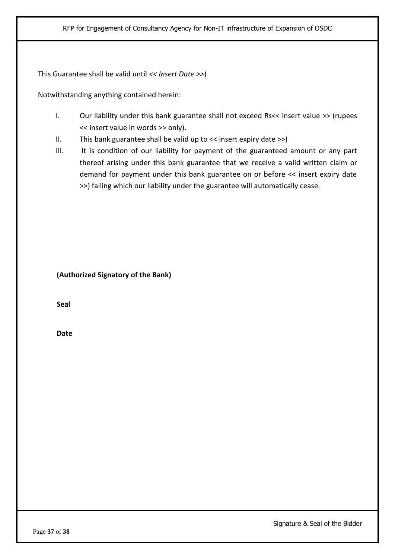This Guarantee shall be valid until *<< Insert Date >>*)

٦

Notwithstanding anything contained herein:

- I. Our liability under this bank guarantee shall not exceed Rs<< insert value >> (rupees << insert value in words >> only).
- II. This bank guarantee shall be valid up to << insert expiry date >>)
- III. It is condition of our liability for payment of the guaranteed amount or any part thereof arising under this bank guarantee that we receive a valid written claim or demand for payment under this bank guarantee on or before << insert expiry date >>) failing which our liability under the guarantee will automatically cease.

#### **(Authorized Signatory of the Bank)**

**Seal**

**Date**

֦